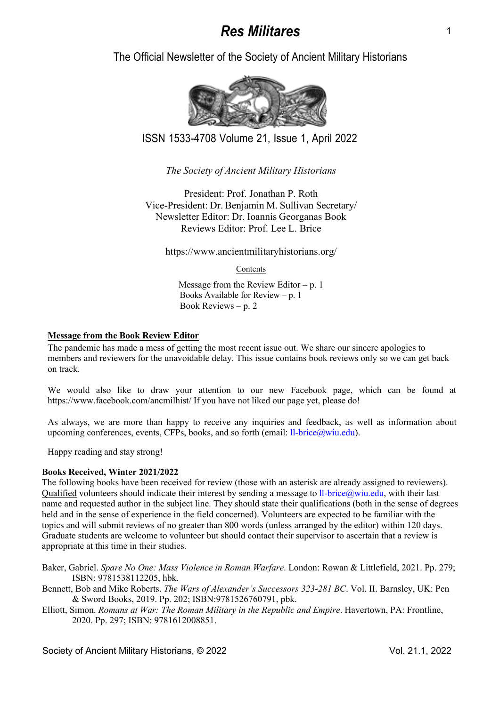The Official Newsletter of the Society of Ancient Military Historians



ISSN 1533-4708 Volume 21, Issue 1, April 2022

*The Society of Ancient Military Historians* 

President: Prof. Jonathan P. Roth Vice-President: Dr. Benjamin M. Sullivan Secretary/ Newsletter Editor: Dr. Ioannis Georganas Book Reviews Editor: Prof. Lee L. Brice

https://www.ancientmilitaryhistorians.org/

Contents

Message from the Review Editor –  $p. 1$ Books Available for Review – p. 1 Book Reviews – p. 2

# **Message from the Book Review Editor**

The pandemic has made a mess of getting the most recent issue out. We share our sincere apologies to members and reviewers for the unavoidable delay. This issue contains book reviews only so we can get back on track.

We would also like to draw your attention to our new Facebook page, which can be found at https://www.facebook.com/ancmilhist/ If you have not liked our page yet, please do!

As always, we are more than happy to receive any inquiries and feedback, as well as information about upcoming conferences, events, CFPs, books, and so forth (email:  $ll$ -brice $@$ wiu.edu).

Happy reading and stay strong!

# **Books Received, Winter 2021/2022**

The following books have been received for review (those with an asterisk are already assigned to reviewers). Qualified volunteers should indicate their interest by sending a message to ll-brice@wiu.edu, with their last name and requested author in the subject line. They should state their qualifications (both in the sense of degrees held and in the sense of experience in the field concerned). Volunteers are expected to be familiar with the topics and will submit reviews of no greater than 800 words (unless arranged by the editor) within 120 days. Graduate students are welcome to volunteer but should contact their supervisor to ascertain that a review is appropriate at this time in their studies.

Baker, Gabriel. *Spare No One: Mass Violence in Roman Warfare*. London: Rowan & Littlefield, 2021. Pp. 279; ISBN: 9781538112205, hbk.

Bennett, Bob and Mike Roberts. *The Wars of Alexander's Successors 323-281 BC*. Vol. II. Barnsley, UK: Pen & Sword Books, 2019. Pp. 202; ISBN:9781526760791, pbk.

Elliott, Simon. *Romans at War: The Roman Military in the Republic and Empire*. Havertown, PA: Frontline, 2020. Pp. 297; ISBN: 9781612008851.

Society of Ancient Military Historians, © 2022 Vol. 21.1, 2022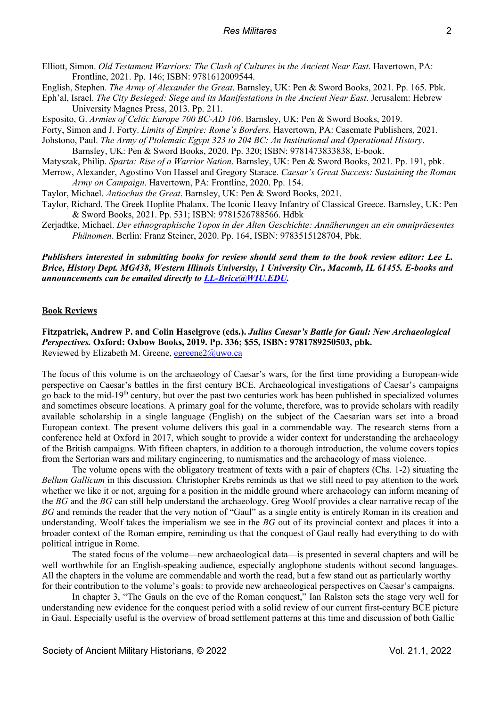- Elliott, Simon. *Old Testament Warriors: The Clash of Cultures in the Ancient Near East*. Havertown, PA: Frontline, 2021. Pp. 146; ISBN: 9781612009544.
- English, Stephen. *The Army of Alexander the Great*. Barnsley, UK: Pen & Sword Books, 2021. Pp. 165. Pbk.
- Eph'al, Israel. *The City Besieged: Siege and its Manifestations in the Ancient Near East*. Jerusalem: Hebrew University Magnes Press, 2013. Pp. 211.
- Esposito, G. *Armies of Celtic Europe 700 BC-AD 106*. Barnsley, UK: Pen & Sword Books, 2019.
- Forty, Simon and J. Forty. *Limits of Empire: Rome's Borders*. Havertown, PA: Casemate Publishers, 2021.
- Johstono, Paul. *The Army of Ptolemaic Egypt 323 to 204 BC: An Institutional and Operational History*. Barnsley, UK: Pen & Sword Books, 2020. Pp. 320; ISBN: 9781473833838, E-book.
- Matyszak, Philip. *Sparta: Rise of a Warrior Nation*. Barnsley, UK: Pen & Sword Books, 2021. Pp. 191, pbk.
- Merrow, Alexander, Agostino Von Hassel and Gregory Starace. *Caesar's Great Success: Sustaining the Roman Army on Campaign*. Havertown, PA: Frontline, 2020. Pp. 154.
- Taylor, Michael. *Antiochus the Great*. Barnsley, UK: Pen & Sword Books, 2021.
- Taylor, Richard. The Greek Hoplite Phalanx. The Iconic Heavy Infantry of Classical Greece. Barnsley, UK: Pen & Sword Books, 2021. Pp. 531; ISBN: 9781526788566. Hdbk
- Zerjadtke, Michael. *Der ethnographische Topos in der Alten Geschichte: Annäherungen an ein omnipräesentes Phänomen*. Berlin: Franz Steiner, 2020. Pp. 164, ISBN: 9783515128704, Pbk.

## *Publishers interested in submitting books for review should send them to the book review editor: Lee L. Brice, History Dept. MG438, Western Illinois University, 1 University Cir., Macomb, IL 61455. E-books and announcements can be emailed directly to LL-Brice@WIU.EDU.*

## **Book Reviews**

**Fitzpatrick, Andrew P. and Colin Haselgrove (eds.).** *Julius Caesar's Battle for Gaul: New Archaeological Perspectives.* **Oxford: Oxbow Books, 2019. Pp. 336; \$55, ISBN: 9781789250503, pbk.**  Reviewed by Elizabeth M. Greene, egreene2@uwo.ca

The focus of this volume is on the archaeology of Caesar's wars, for the first time providing a European-wide perspective on Caesar's battles in the first century BCE. Archaeological investigations of Caesar's campaigns go back to the mid-19th century, but over the past two centuries work has been published in specialized volumes and sometimes obscure locations. A primary goal for the volume, therefore, was to provide scholars with readily available scholarship in a single language (English) on the subject of the Caesarian wars set into a broad European context. The present volume delivers this goal in a commendable way. The research stems from a conference held at Oxford in 2017, which sought to provide a wider context for understanding the archaeology of the British campaigns. With fifteen chapters, in addition to a thorough introduction, the volume covers topics from the Sertorian wars and military engineering, to numismatics and the archaeology of mass violence.

The volume opens with the obligatory treatment of texts with a pair of chapters (Chs. 1-2) situating the *Bellum Gallicum* in this discussion*.* Christopher Krebs reminds us that we still need to pay attention to the work whether we like it or not, arguing for a position in the middle ground where archaeology can inform meaning of the *BG* and the *BG* can still help understand the archaeology. Greg Woolf provides a clear narrative recap of the *BG* and reminds the reader that the very notion of "Gaul" as a single entity is entirely Roman in its creation and understanding. Woolf takes the imperialism we see in the *BG* out of its provincial context and places it into a broader context of the Roman empire, reminding us that the conquest of Gaul really had everything to do with political intrigue in Rome.

The stated focus of the volume—new archaeological data—is presented in several chapters and will be well worthwhile for an English-speaking audience, especially anglophone students without second languages. All the chapters in the volume are commendable and worth the read, but a few stand out as particularly worthy for their contribution to the volume's goals: to provide new archaeological perspectives on Caesar's campaigns.

In chapter 3, "The Gauls on the eve of the Roman conquest," Ian Ralston sets the stage very well for understanding new evidence for the conquest period with a solid review of our current first-century BCE picture in Gaul. Especially useful is the overview of broad settlement patterns at this time and discussion of both Gallic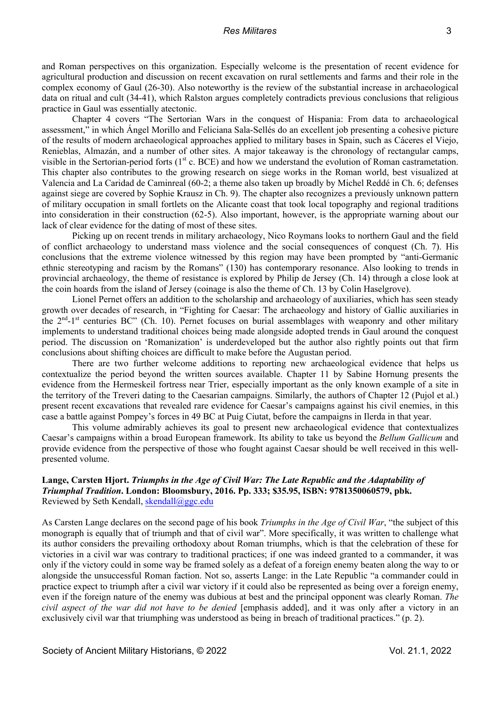and Roman perspectives on this organization. Especially welcome is the presentation of recent evidence for agricultural production and discussion on recent excavation on rural settlements and farms and their role in the complex economy of Gaul (26-30). Also noteworthy is the review of the substantial increase in archaeological data on ritual and cult (34-41), which Ralston argues completely contradicts previous conclusions that religious practice in Gaul was essentially atectonic.

Chapter 4 covers "The Sertorian Wars in the conquest of Hispania: From data to archaeological assessment," in which Ángel Morillo and Feliciana Sala-Sellés do an excellent job presenting a cohesive picture of the results of modern archaeological approaches applied to military bases in Spain, such as Cáceres el Viejo, Renieblas, Almazán, and a number of other sites. A major takeaway is the chronology of rectangular camps, visible in the Sertorian-period forts (1<sup>st</sup> c. BCE) and how we understand the evolution of Roman castrametation. This chapter also contributes to the growing research on siege works in the Roman world, best visualized at Valencia and La Caridad de Caminreal (60-2; a theme also taken up broadly by Michel Reddé in Ch. 6; defenses against siege are covered by Sophie Krausz in Ch. 9). The chapter also recognizes a previously unknown pattern of military occupation in small fortlets on the Alicante coast that took local topography and regional traditions into consideration in their construction (62-5). Also important, however, is the appropriate warning about our lack of clear evidence for the dating of most of these sites.

Picking up on recent trends in military archaeology, Nico Roymans looks to northern Gaul and the field of conflict archaeology to understand mass violence and the social consequences of conquest (Ch. 7). His conclusions that the extreme violence witnessed by this region may have been prompted by "anti-Germanic ethnic stereotyping and racism by the Romans" (130) has contemporary resonance. Also looking to trends in provincial archaeology, the theme of resistance is explored by Philip de Jersey (Ch. 14) through a close look at the coin hoards from the island of Jersey (coinage is also the theme of Ch. 13 by Colin Haselgrove).

Lionel Pernet offers an addition to the scholarship and archaeology of auxiliaries, which has seen steady growth over decades of research, in "Fighting for Caesar: The archaeology and history of Gallic auxiliaries in the  $2<sup>nd</sup> - 1<sup>st</sup>$  centuries BC" (Ch. 10). Pernet focuses on burial assemblages with weaponry and other military implements to understand traditional choices being made alongside adopted trends in Gaul around the conquest period. The discussion on 'Romanization' is underdeveloped but the author also rightly points out that firm conclusions about shifting choices are difficult to make before the Augustan period.

There are two further welcome additions to reporting new archaeological evidence that helps us contextualize the period beyond the written sources available. Chapter 11 by Sabine Hornung presents the evidence from the Hermeskeil fortress near Trier, especially important as the only known example of a site in the territory of the Treveri dating to the Caesarian campaigns. Similarly, the authors of Chapter 12 (Pujol et al.) present recent excavations that revealed rare evidence for Caesar's campaigns against his civil enemies, in this case a battle against Pompey's forces in 49 BC at Puig Ciutat, before the campaigns in Ilerda in that year.

This volume admirably achieves its goal to present new archaeological evidence that contextualizes Caesar's campaigns within a broad European framework. Its ability to take us beyond the *Bellum Gallicum* and provide evidence from the perspective of those who fought against Caesar should be well received in this wellpresented volume.

## **Lange, Carsten Hjort.** *Triumphs in the Age of Civil War: The Late Republic and the Adaptability of Triumphal Tradition***. London: Bloomsbury, 2016. Pp. 333; \$35.95, ISBN: 9781350060579, pbk.** Reviewed by Seth Kendall, skendall@ggc.edu

As Carsten Lange declares on the second page of his book *Triumphs in the Age of Civil War*, "the subject of this monograph is equally that of triumph and that of civil war". More specifically, it was written to challenge what its author considers the prevailing orthodoxy about Roman triumphs, which is that the celebration of these for victories in a civil war was contrary to traditional practices; if one was indeed granted to a commander, it was only if the victory could in some way be framed solely as a defeat of a foreign enemy beaten along the way to or alongside the unsuccessful Roman faction. Not so, asserts Lange: in the Late Republic "a commander could in practice expect to triumph after a civil war victory if it could also be represented as being over a foreign enemy, even if the foreign nature of the enemy was dubious at best and the principal opponent was clearly Roman. *The civil aspect of the war did not have to be denied* [emphasis added], and it was only after a victory in an exclusively civil war that triumphing was understood as being in breach of traditional practices." (p. 2).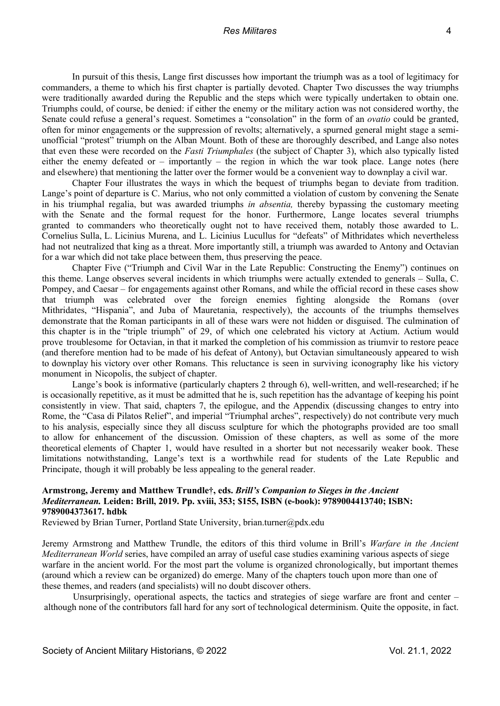In pursuit of this thesis, Lange first discusses how important the triumph was as a tool of legitimacy for commanders, a theme to which his first chapter is partially devoted. Chapter Two discusses the way triumphs were traditionally awarded during the Republic and the steps which were typically undertaken to obtain one. Triumphs could, of course, be denied: if either the enemy or the military action was not considered worthy, the Senate could refuse a general's request. Sometimes a "consolation" in the form of an *ovatio* could be granted, often for minor engagements or the suppression of revolts; alternatively, a spurned general might stage a semiunofficial "protest" triumph on the Alban Mount. Both of these are thoroughly described, and Lange also notes that even these were recorded on the *Fasti Triumphales* (the subject of Chapter 3), which also typically listed either the enemy defeated or – importantly – the region in which the war took place. Lange notes (here and elsewhere) that mentioning the latter over the former would be a convenient way to downplay a civil war.

Chapter Four illustrates the ways in which the bequest of triumphs began to deviate from tradition. Lange's point of departure is C. Marius, who not only committed a violation of custom by convening the Senate in his triumphal regalia, but was awarded triumphs *in absentia,* thereby bypassing the customary meeting with the Senate and the formal request for the honor. Furthermore, Lange locates several triumphs granted to commanders who theoretically ought not to have received them, notably those awarded to L. Cornelius Sulla, L. Licinius Murena, and L. Licinius Lucullus for "defeats" of Mithridates which nevertheless had not neutralized that king as a threat. More importantly still, a triumph was awarded to Antony and Octavian for a war which did not take place between them, thus preserving the peace.

Chapter Five ("Triumph and Civil War in the Late Republic: Constructing the Enemy") continues on this theme. Lange observes several incidents in which triumphs were actually extended to generals – Sulla, C. Pompey, and Caesar – for engagements against other Romans, and while the official record in these cases show that triumph was celebrated over the foreign enemies fighting alongside the Romans (over Mithridates, "Hispania", and Juba of Mauretania, respectively), the accounts of the triumphs themselves demonstrate that the Roman participants in all of these wars were not hidden or disguised. The culmination of this chapter is in the "triple triumph" of 29, of which one celebrated his victory at Actium. Actium would prove troublesome for Octavian, in that it marked the completion of his commission as triumvir to restore peace (and therefore mention had to be made of his defeat of Antony), but Octavian simultaneously appeared to wish to downplay his victory over other Romans. This reluctance is seen in surviving iconography like his victory monument in Nicopolis, the subject of chapter.

Lange's book is informative (particularly chapters 2 through 6), well-written, and well-researched; if he is occasionally repetitive, as it must be admitted that he is, such repetition has the advantage of keeping his point consistently in view. That said, chapters 7, the epilogue, and the Appendix (discussing changes to entry into Rome, the "Casa di Pilatos Relief", and imperial "Triumphal arches", respectively) do not contribute very much to his analysis, especially since they all discuss sculpture for which the photographs provided are too small to allow for enhancement of the discussion. Omission of these chapters, as well as some of the more theoretical elements of Chapter 1, would have resulted in a shorter but not necessarily weaker book. These limitations notwithstanding, Lange's text is a worthwhile read for students of the Late Republic and Principate, though it will probably be less appealing to the general reader.

# **Armstrong, Jeremy and Matthew Trundle†, eds.** *Brill's Companion to Sieges in the Ancient Mediterranean.* **Leiden: Brill, 2019. Pp. xviii, 353; \$155, ISBN (e-book): 9789004413740; ISBN: 9789004373617. hdbk**

Reviewed by Brian Turner, Portland State University, brian.turner@pdx.edu

Jeremy Armstrong and Matthew Trundle, the editors of this third volume in Brill's *Warfare in the Ancient Mediterranean World* series, have compiled an array of useful case studies examining various aspects of siege warfare in the ancient world. For the most part the volume is organized chronologically, but important themes (around which a review can be organized) do emerge. Many of the chapters touch upon more than one of these themes, and readers (and specialists) will no doubt discover others.

Unsurprisingly, operational aspects, the tactics and strategies of siege warfare are front and center  $$ although none of the contributors fall hard for any sort of technological determinism. Quite the opposite, in fact.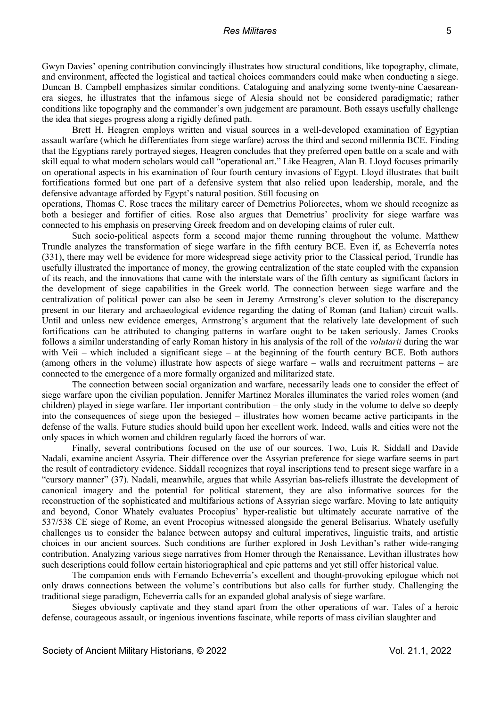Gwyn Davies' opening contribution convincingly illustrates how structural conditions, like topography, climate, and environment, affected the logistical and tactical choices commanders could make when conducting a siege. Duncan B. Campbell emphasizes similar conditions. Cataloguing and analyzing some twenty-nine Caesareanera sieges, he illustrates that the infamous siege of Alesia should not be considered paradigmatic; rather conditions like topography and the commander's own judgement are paramount. Both essays usefully challenge the idea that sieges progress along a rigidly defined path.

Brett H. Heagren employs written and visual sources in a well-developed examination of Egyptian assault warfare (which he differentiates from siege warfare) across the third and second millennia BCE. Finding that the Egyptians rarely portrayed sieges, Heagren concludes that they preferred open battle on a scale and with skill equal to what modern scholars would call "operational art." Like Heagren, Alan B. Lloyd focuses primarily on operational aspects in his examination of four fourth century invasions of Egypt. Lloyd illustrates that built fortifications formed but one part of a defensive system that also relied upon leadership, morale, and the defensive advantage afforded by Egypt's natural position. Still focusing on

operations, Thomas C. Rose traces the military career of Demetrius Poliorcetes, whom we should recognize as both a besieger and fortifier of cities. Rose also argues that Demetrius' proclivity for siege warfare was connected to his emphasis on preserving Greek freedom and on developing claims of ruler cult.

Such socio-political aspects form a second major theme running throughout the volume. Matthew Trundle analyzes the transformation of siege warfare in the fifth century BCE. Even if, as Echeverría notes (331), there may well be evidence for more widespread siege activity prior to the Classical period, Trundle has usefully illustrated the importance of money, the growing centralization of the state coupled with the expansion of its reach, and the innovations that came with the interstate wars of the fifth century as significant factors in the development of siege capabilities in the Greek world. The connection between siege warfare and the centralization of political power can also be seen in Jeremy Armstrong's clever solution to the discrepancy present in our literary and archaeological evidence regarding the dating of Roman (and Italian) circuit walls. Until and unless new evidence emerges, Armstrong's argument that the relatively late development of such fortifications can be attributed to changing patterns in warfare ought to be taken seriously. James Crooks follows a similar understanding of early Roman history in his analysis of the roll of the *volutarii* during the war with Veii – which included a significant siege – at the beginning of the fourth century BCE. Both authors (among others in the volume) illustrate how aspects of siege warfare – walls and recruitment patterns – are connected to the emergence of a more formally organized and militarized state.

The connection between social organization and warfare, necessarily leads one to consider the effect of siege warfare upon the civilian population. Jennifer Martinez Morales illuminates the varied roles women (and children) played in siege warfare. Her important contribution – the only study in the volume to delve so deeply into the consequences of siege upon the besieged – illustrates how women became active participants in the defense of the walls. Future studies should build upon her excellent work. Indeed, walls and cities were not the only spaces in which women and children regularly faced the horrors of war.

Finally, several contributions focused on the use of our sources. Two, Luis R. Siddall and Davide Nadali, examine ancient Assyria. Their difference over the Assyrian preference for siege warfare seems in part the result of contradictory evidence. Siddall recognizes that royal inscriptions tend to present siege warfare in a "cursory manner" (37). Nadali, meanwhile, argues that while Assyrian bas-reliefs illustrate the development of canonical imagery and the potential for political statement, they are also informative sources for the reconstruction of the sophisticated and multifarious actions of Assyrian siege warfare. Moving to late antiquity and beyond, Conor Whately evaluates Procopius' hyper-realistic but ultimately accurate narrative of the 537/538 CE siege of Rome, an event Procopius witnessed alongside the general Belisarius. Whately usefully challenges us to consider the balance between autopsy and cultural imperatives, linguistic traits, and artistic choices in our ancient sources. Such conditions are further explored in Josh Levithan's rather wide-ranging contribution. Analyzing various siege narratives from Homer through the Renaissance, Levithan illustrates how such descriptions could follow certain historiographical and epic patterns and yet still offer historical value.

The companion ends with Fernando Echeverría's excellent and thought-provoking epilogue which not only draws connections between the volume's contributions but also calls for further study. Challenging the traditional siege paradigm, Echeverría calls for an expanded global analysis of siege warfare.

Sieges obviously captivate and they stand apart from the other operations of war. Tales of a heroic defense, courageous assault, or ingenious inventions fascinate, while reports of mass civilian slaughter and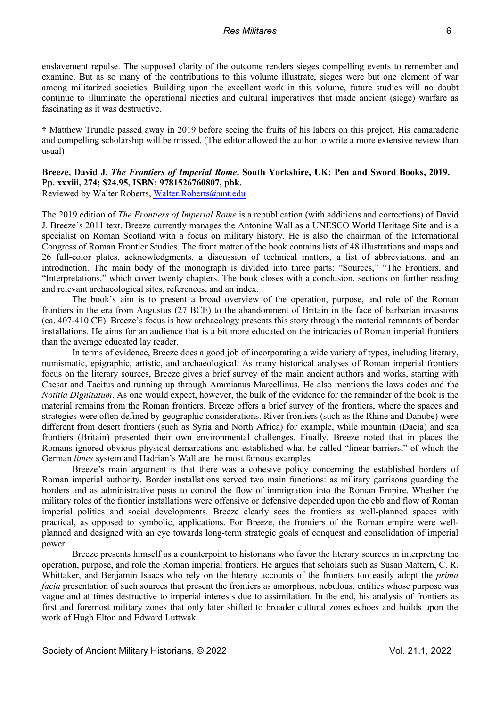enslavement repulse. The supposed clarity of the outcome renders sieges compelling events to remember and examine. But as so many of the contributions to this volume illustrate, sieges were but one element of war among militarized societies. Building upon the excellent work in this volume, future studies will no doubt continue to illuminate the operational niceties and cultural imperatives that made ancient (siege) warfare as fascinating as it was destructive.

**†** Matthew Trundle passed away in 2019 before seeing the fruits of his labors on this project. His camaraderie and compelling scholarship will be missed. (The editor allowed the author to write a more extensive review than usual)

# **Breeze, David J.** *The Frontiers of Imperial Rome***. South Yorkshire, UK: Pen and Sword Books, 2019. Pp. xxxiii, 274; \$24.95, ISBN: 9781526760807, pbk.**

Reviewed by Walter Roberts, Walter.Roberts@unt.edu

The 2019 edition of *The Frontiers of Imperial Rome* is a republication (with additions and corrections) of David J. Breeze's 2011 text. Breeze currently manages the Antonine Wall as a UNESCO World Heritage Site and is a specialist on Roman Scotland with a focus on military history. He is also the chairman of the International Congress of Roman Frontier Studies. The front matter of the book contains lists of 48 illustrations and maps and 26 full-color plates, acknowledgments, a discussion of technical matters, a list of abbreviations, and an introduction. The main body of the monograph is divided into three parts: "Sources," "The Frontiers, and "Interpretations," which cover twenty chapters. The book closes with a conclusion, sections on further reading and relevant archaeological sites, references, and an index.

The book's aim is to present a broad overview of the operation, purpose, and role of the Roman frontiers in the era from Augustus (27 BCE) to the abandonment of Britain in the face of barbarian invasions (ca. 407-410 CE). Breeze's focus is how archaeology presents this story through the material remnants of border installations. He aims for an audience that is a bit more educated on the intricacies of Roman imperial frontiers than the average educated lay reader.

In terms of evidence, Breeze does a good job of incorporating a wide variety of types, including literary, numismatic, epigraphic, artistic, and archaeological. As many historical analyses of Roman imperial frontiers focus on the literary sources, Breeze gives a brief survey of the main ancient authors and works, starting with Caesar and Tacitus and running up through Ammianus Marcellinus. He also mentions the laws codes and the *Notitia Dignitatum*. As one would expect, however, the bulk of the evidence for the remainder of the book is the material remains from the Roman frontiers. Breeze offers a brief survey of the frontiers, where the spaces and strategies were often defined by geographic considerations. River frontiers (such as the Rhine and Danube) were different from desert frontiers (such as Syria and North Africa) for example, while mountain (Dacia) and sea frontiers (Britain) presented their own environmental challenges. Finally, Breeze noted that in places the Romans ignored obvious physical demarcations and established what he called "linear barriers," of which the German *limes* system and Hadrian's Wall are the most famous examples.

Breeze's main argument is that there was a cohesive policy concerning the established borders of Roman imperial authority. Border installations served two main functions: as military garrisons guarding the borders and as administrative posts to control the flow of immigration into the Roman Empire. Whether the military roles of the frontier installations were offensive or defensive depended upon the ebb and flow of Roman imperial politics and social developments. Breeze clearly sees the frontiers as well-planned spaces with practical, as opposed to symbolic, applications. For Breeze, the frontiers of the Roman empire were wellplanned and designed with an eye towards long-term strategic goals of conquest and consolidation of imperial power.

Breeze presents himself as a counterpoint to historians who favor the literary sources in interpreting the operation, purpose, and role the Roman imperial frontiers. He argues that scholars such as Susan Mattern, C. R. Whittaker, and Benjamin Isaacs who rely on the literary accounts of the frontiers too easily adopt the *prima facia* presentation of such sources that present the frontiers as amorphous, nebulous, entities whose purpose was vague and at times destructive to imperial interests due to assimilation. In the end, his analysis of frontiers as first and foremost military zones that only later shifted to broader cultural zones echoes and builds upon the work of Hugh Elton and Edward Luttwak.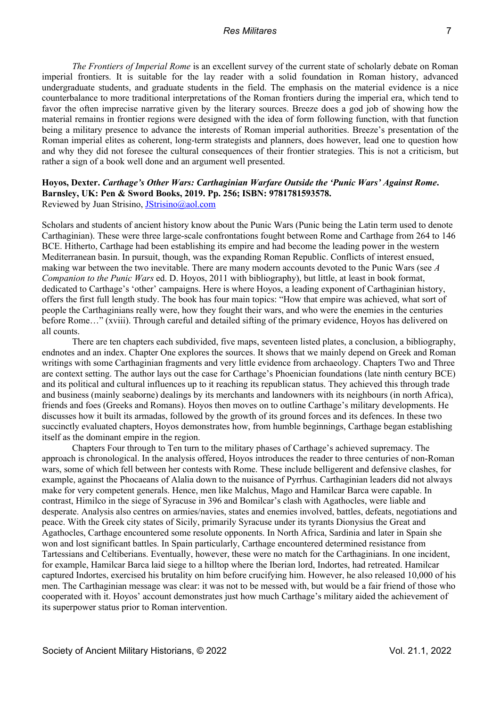*The Frontiers of Imperial Rome* is an excellent survey of the current state of scholarly debate on Roman imperial frontiers. It is suitable for the lay reader with a solid foundation in Roman history, advanced undergraduate students, and graduate students in the field. The emphasis on the material evidence is a nice counterbalance to more traditional interpretations of the Roman frontiers during the imperial era, which tend to favor the often imprecise narrative given by the literary sources. Breeze does a god job of showing how the material remains in frontier regions were designed with the idea of form following function, with that function being a military presence to advance the interests of Roman imperial authorities. Breeze's presentation of the Roman imperial elites as coherent, long-term strategists and planners, does however, lead one to question how and why they did not foresee the cultural consequences of their frontier strategies. This is not a criticism, but rather a sign of a book well done and an argument well presented.

# **Hoyos, Dexter.** *Carthage's Other Wars: Carthaginian Warfare Outside the 'Punic Wars' Against Rome***. Barnsley, UK: Pen & Sword Books, 2019. Pp. 256; ISBN: 9781781593578.**  Reviewed by Juan Strisino, JStrisino@aol.com

Scholars and students of ancient history know about the Punic Wars (Punic being the Latin term used to denote Carthaginian). These were three large-scale confrontations fought between Rome and Carthage from 264 to 146 BCE. Hitherto, Carthage had been establishing its empire and had become the leading power in the western Mediterranean basin. In pursuit, though, was the expanding Roman Republic. Conflicts of interest ensued, making war between the two inevitable. There are many modern accounts devoted to the Punic Wars (see *A Companion to the Punic Wars* ed. D. Hoyos, 2011 with bibliography), but little, at least in book format, dedicated to Carthage's 'other' campaigns. Here is where Hoyos, a leading exponent of Carthaginian history, offers the first full length study. The book has four main topics: "How that empire was achieved, what sort of people the Carthaginians really were, how they fought their wars, and who were the enemies in the centuries before Rome…" (xviii). Through careful and detailed sifting of the primary evidence, Hoyos has delivered on all counts.

There are ten chapters each subdivided, five maps, seventeen listed plates, a conclusion, a bibliography, endnotes and an index. Chapter One explores the sources. It shows that we mainly depend on Greek and Roman writings with some Carthaginian fragments and very little evidence from archaeology. Chapters Two and Three are context setting. The author lays out the case for Carthage's Phoenician foundations (late ninth century BCE) and its political and cultural influences up to it reaching its republican status. They achieved this through trade and business (mainly seaborne) dealings by its merchants and landowners with its neighbours (in north Africa), friends and foes (Greeks and Romans). Hoyos then moves on to outline Carthage's military developments. He discusses how it built its armadas, followed by the growth of its ground forces and its defences. In these two succinctly evaluated chapters, Hoyos demonstrates how, from humble beginnings, Carthage began establishing itself as the dominant empire in the region.

Chapters Four through to Ten turn to the military phases of Carthage's achieved supremacy. The approach is chronological. In the analysis offered, Hoyos introduces the reader to three centuries of non-Roman wars, some of which fell between her contests with Rome. These include belligerent and defensive clashes, for example, against the Phocaeans of Alalia down to the nuisance of Pyrrhus. Carthaginian leaders did not always make for very competent generals. Hence, men like Malchus, Mago and Hamilcar Barca were capable. In contrast, Himilco in the siege of Syracuse in 396 and Bomilcar's clash with Agathocles, were liable and desperate. Analysis also centres on armies/navies, states and enemies involved, battles, defeats, negotiations and peace. With the Greek city states of Sicily, primarily Syracuse under its tyrants Dionysius the Great and Agathocles, Carthage encountered some resolute opponents. In North Africa, Sardinia and later in Spain she won and lost significant battles. In Spain particularly, Carthage encountered determined resistance from Tartessians and Celtiberians. Eventually, however, these were no match for the Carthaginians. In one incident, for example, Hamilcar Barca laid siege to a hilltop where the Iberian lord, Indortes, had retreated. Hamilcar captured Indortes, exercised his brutality on him before crucifying him. However, he also released 10,000 of his men. The Carthaginian message was clear: it was not to be messed with, but would be a fair friend of those who cooperated with it. Hoyos' account demonstrates just how much Carthage's military aided the achievement of its superpower status prior to Roman intervention.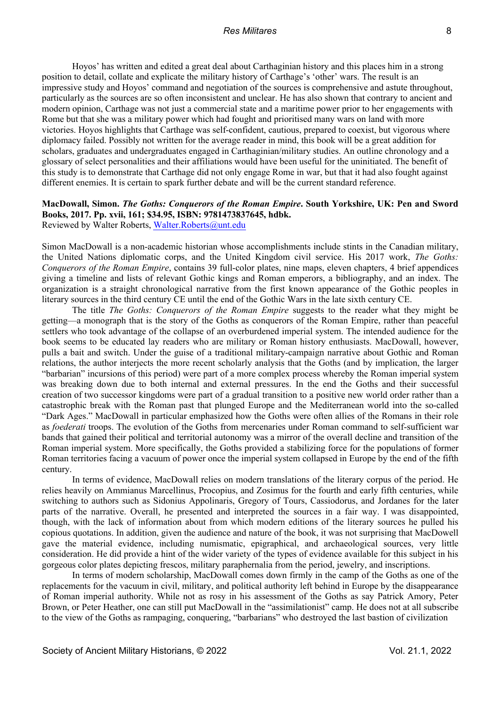Hoyos' has written and edited a great deal about Carthaginian history and this places him in a strong position to detail, collate and explicate the military history of Carthage's 'other' wars. The result is an impressive study and Hoyos' command and negotiation of the sources is comprehensive and astute throughout, particularly as the sources are so often inconsistent and unclear. He has also shown that contrary to ancient and modern opinion, Carthage was not just a commercial state and a maritime power prior to her engagements with Rome but that she was a military power which had fought and prioritised many wars on land with more victories. Hoyos highlights that Carthage was self-confident, cautious, prepared to coexist, but vigorous where diplomacy failed. Possibly not written for the average reader in mind, this book will be a great addition for scholars, graduates and undergraduates engaged in Carthaginian/military studies. An outline chronology and a glossary of select personalities and their affiliations would have been useful for the uninitiated. The benefit of this study is to demonstrate that Carthage did not only engage Rome in war, but that it had also fought against different enemies. It is certain to spark further debate and will be the current standard reference.

# **MacDowall, Simon.** *The Goths: Conquerors of the Roman Empire***. South Yorkshire, UK: Pen and Sword Books, 2017. Pp. xvii, 161; \$34.95, ISBN: 9781473837645, hdbk.**

Reviewed by Walter Roberts, Walter.Roberts@unt.edu

Simon MacDowall is a non-academic historian whose accomplishments include stints in the Canadian military, the United Nations diplomatic corps, and the United Kingdom civil service. His 2017 work, *The Goths: Conquerors of the Roman Empire*, contains 39 full-color plates, nine maps, eleven chapters, 4 brief appendices giving a timeline and lists of relevant Gothic kings and Roman emperors, a bibliography, and an index. The organization is a straight chronological narrative from the first known appearance of the Gothic peoples in literary sources in the third century CE until the end of the Gothic Wars in the late sixth century CE.

The title *The Goths: Conquerors of the Roman Empire* suggests to the reader what they might be getting—a monograph that is the story of the Goths as conquerors of the Roman Empire, rather than peaceful settlers who took advantage of the collapse of an overburdened imperial system. The intended audience for the book seems to be educated lay readers who are military or Roman history enthusiasts. MacDowall, however, pulls a bait and switch. Under the guise of a traditional military-campaign narrative about Gothic and Roman relations, the author interjects the more recent scholarly analysis that the Goths (and by implication, the larger "barbarian" incursions of this period) were part of a more complex process whereby the Roman imperial system was breaking down due to both internal and external pressures. In the end the Goths and their successful creation of two successor kingdoms were part of a gradual transition to a positive new world order rather than a catastrophic break with the Roman past that plunged Europe and the Mediterranean world into the so-called "Dark Ages." MacDowall in particular emphasized how the Goths were often allies of the Romans in their role as *foederati* troops. The evolution of the Goths from mercenaries under Roman command to self-sufficient war bands that gained their political and territorial autonomy was a mirror of the overall decline and transition of the Roman imperial system. More specifically, the Goths provided a stabilizing force for the populations of former Roman territories facing a vacuum of power once the imperial system collapsed in Europe by the end of the fifth century.

In terms of evidence, MacDowall relies on modern translations of the literary corpus of the period. He relies heavily on Ammianus Marcellinus, Procopius, and Zosimus for the fourth and early fifth centuries, while switching to authors such as Sidonius Appolinaris, Gregory of Tours, Cassiodorus, and Jordanes for the later parts of the narrative. Overall, he presented and interpreted the sources in a fair way. I was disappointed, though, with the lack of information about from which modern editions of the literary sources he pulled his copious quotations. In addition, given the audience and nature of the book, it was not surprising that MacDowell gave the material evidence, including numismatic, epigraphical, and archaeological sources, very little consideration. He did provide a hint of the wider variety of the types of evidence available for this subject in his gorgeous color plates depicting frescos, military paraphernalia from the period, jewelry, and inscriptions.

In terms of modern scholarship, MacDowall comes down firmly in the camp of the Goths as one of the replacements for the vacuum in civil, military, and political authority left behind in Europe by the disappearance of Roman imperial authority. While not as rosy in his assessment of the Goths as say Patrick Amory, Peter Brown, or Peter Heather, one can still put MacDowall in the "assimilationist" camp. He does not at all subscribe to the view of the Goths as rampaging, conquering, "barbarians" who destroyed the last bastion of civilization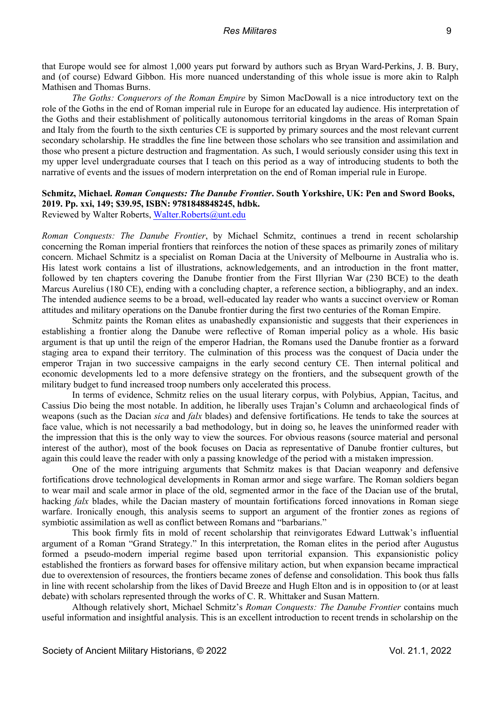that Europe would see for almost 1,000 years put forward by authors such as Bryan Ward-Perkins, J. B. Bury, and (of course) Edward Gibbon. His more nuanced understanding of this whole issue is more akin to Ralph Mathisen and Thomas Burns.

*The Goths: Conquerors of the Roman Empire* by Simon MacDowall is a nice introductory text on the role of the Goths in the end of Roman imperial rule in Europe for an educated lay audience. His interpretation of the Goths and their establishment of politically autonomous territorial kingdoms in the areas of Roman Spain and Italy from the fourth to the sixth centuries CE is supported by primary sources and the most relevant current secondary scholarship. He straddles the fine line between those scholars who see transition and assimilation and those who present a picture destruction and fragmentation. As such, I would seriously consider using this text in my upper level undergraduate courses that I teach on this period as a way of introducing students to both the narrative of events and the issues of modern interpretation on the end of Roman imperial rule in Europe.

# **Schmitz, Michael.** *Roman Conquests: The Danube Frontier***. South Yorkshire, UK: Pen and Sword Books, 2019. Pp. xxi, 149; \$39.95, ISBN: 9781848848245, hdbk.**

Reviewed by Walter Roberts, Walter.Roberts@unt.edu

*Roman Conquests: The Danube Frontier*, by Michael Schmitz, continues a trend in recent scholarship concerning the Roman imperial frontiers that reinforces the notion of these spaces as primarily zones of military concern. Michael Schmitz is a specialist on Roman Dacia at the University of Melbourne in Australia who is. His latest work contains a list of illustrations, acknowledgements, and an introduction in the front matter, followed by ten chapters covering the Danube frontier from the First Illyrian War (230 BCE) to the death Marcus Aurelius (180 CE), ending with a concluding chapter, a reference section, a bibliography, and an index. The intended audience seems to be a broad, well-educated lay reader who wants a succinct overview or Roman attitudes and military operations on the Danube frontier during the first two centuries of the Roman Empire.

Schmitz paints the Roman elites as unabashedly expansionistic and suggests that their experiences in establishing a frontier along the Danube were reflective of Roman imperial policy as a whole. His basic argument is that up until the reign of the emperor Hadrian, the Romans used the Danube frontier as a forward staging area to expand their territory. The culmination of this process was the conquest of Dacia under the emperor Trajan in two successive campaigns in the early second century CE. Then internal political and economic developments led to a more defensive strategy on the frontiers, and the subsequent growth of the military budget to fund increased troop numbers only accelerated this process.

In terms of evidence, Schmitz relies on the usual literary corpus, with Polybius, Appian, Tacitus, and Cassius Dio being the most notable. In addition, he liberally uses Trajan's Column and archaeological finds of weapons (such as the Dacian *sica* and *falx* blades) and defensive fortifications. He tends to take the sources at face value, which is not necessarily a bad methodology, but in doing so, he leaves the uninformed reader with the impression that this is the only way to view the sources. For obvious reasons (source material and personal interest of the author), most of the book focuses on Dacia as representative of Danube frontier cultures, but again this could leave the reader with only a passing knowledge of the period with a mistaken impression.

One of the more intriguing arguments that Schmitz makes is that Dacian weaponry and defensive fortifications drove technological developments in Roman armor and siege warfare. The Roman soldiers began to wear mail and scale armor in place of the old, segmented armor in the face of the Dacian use of the brutal, hacking *falx* blades, while the Dacian mastery of mountain fortifications forced innovations in Roman siege warfare. Ironically enough, this analysis seems to support an argument of the frontier zones as regions of symbiotic assimilation as well as conflict between Romans and "barbarians."

This book firmly fits in mold of recent scholarship that reinvigorates Edward Luttwak's influential argument of a Roman "Grand Strategy." In this interpretation, the Roman elites in the period after Augustus formed a pseudo-modern imperial regime based upon territorial expansion. This expansionistic policy established the frontiers as forward bases for offensive military action, but when expansion became impractical due to overextension of resources, the frontiers became zones of defense and consolidation. This book thus falls in line with recent scholarship from the likes of David Breeze and Hugh Elton and is in opposition to (or at least debate) with scholars represented through the works of C. R. Whittaker and Susan Mattern.

Although relatively short, Michael Schmitz's *Roman Conquests: The Danube Frontier* contains much useful information and insightful analysis. This is an excellent introduction to recent trends in scholarship on the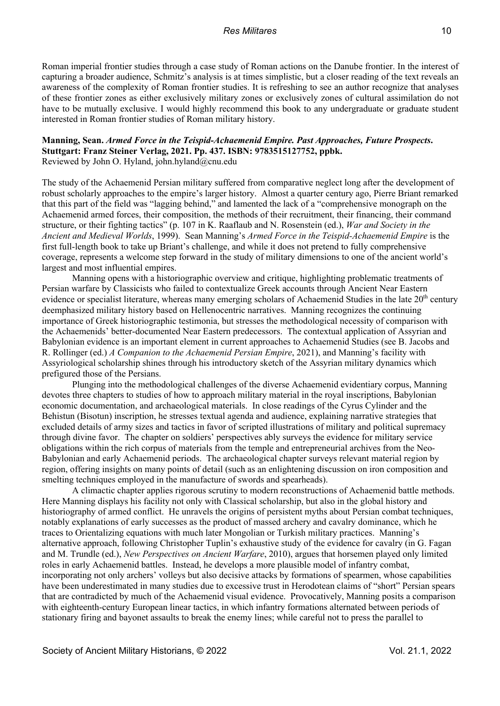Roman imperial frontier studies through a case study of Roman actions on the Danube frontier. In the interest of capturing a broader audience, Schmitz's analysis is at times simplistic, but a closer reading of the text reveals an awareness of the complexity of Roman frontier studies. It is refreshing to see an author recognize that analyses of these frontier zones as either exclusively military zones or exclusively zones of cultural assimilation do not have to be mutually exclusive. I would highly recommend this book to any undergraduate or graduate student interested in Roman frontier studies of Roman military history.

# **Manning, Sean.** *Armed Force in the Teispid-Achaemenid Empire. Past Approaches, Future Prospects***. Stuttgart: Franz Steiner Verlag, 2021. Pp. 437. ISBN: 9783515127752, ppbk.**

Reviewed by John O. Hyland, john.hyland@cnu.edu

The study of the Achaemenid Persian military suffered from comparative neglect long after the development of robust scholarly approaches to the empire's larger history. Almost a quarter century ago, Pierre Briant remarked that this part of the field was "lagging behind," and lamented the lack of a "comprehensive monograph on the Achaemenid armed forces, their composition, the methods of their recruitment, their financing, their command structure, or their fighting tactics" (p. 107 in K. Raaflaub and N. Rosenstein (ed.), *War and Society in the Ancient and Medieval Worlds*, 1999). Sean Manning's *Armed Force in the Teispid-Achaemenid Empire* is the first full-length book to take up Briant's challenge, and while it does not pretend to fully comprehensive coverage, represents a welcome step forward in the study of military dimensions to one of the ancient world's largest and most influential empires.

Manning opens with a historiographic overview and critique, highlighting problematic treatments of Persian warfare by Classicists who failed to contextualize Greek accounts through Ancient Near Eastern evidence or specialist literature, whereas many emerging scholars of Achaemenid Studies in the late 20<sup>th</sup> century deemphasized military history based on Hellenocentric narratives. Manning recognizes the continuing importance of Greek historiographic testimonia, but stresses the methodological necessity of comparison with the Achaemenids' better-documented Near Eastern predecessors. The contextual application of Assyrian and Babylonian evidence is an important element in current approaches to Achaemenid Studies (see B. Jacobs and R. Rollinger (ed.) *A Companion to the Achaemenid Persian Empire*, 2021), and Manning's facility with Assyriological scholarship shines through his introductory sketch of the Assyrian military dynamics which prefigured those of the Persians.

Plunging into the methodological challenges of the diverse Achaemenid evidentiary corpus, Manning devotes three chapters to studies of how to approach military material in the royal inscriptions, Babylonian economic documentation, and archaeological materials. In close readings of the Cyrus Cylinder and the Behistun (Bisotun) inscription, he stresses textual agenda and audience, explaining narrative strategies that excluded details of army sizes and tactics in favor of scripted illustrations of military and political supremacy through divine favor. The chapter on soldiers' perspectives ably surveys the evidence for military service obligations within the rich corpus of materials from the temple and entrepreneurial archives from the Neo-Babylonian and early Achaemenid periods. The archaeological chapter surveys relevant material region by region, offering insights on many points of detail (such as an enlightening discussion on iron composition and smelting techniques employed in the manufacture of swords and spearheads).

A climactic chapter applies rigorous scrutiny to modern reconstructions of Achaemenid battle methods. Here Manning displays his facility not only with Classical scholarship, but also in the global history and historiography of armed conflict. He unravels the origins of persistent myths about Persian combat techniques, notably explanations of early successes as the product of massed archery and cavalry dominance, which he traces to Orientalizing equations with much later Mongolian or Turkish military practices. Manning's alternative approach, following Christopher Tuplin's exhaustive study of the evidence for cavalry (in G. Fagan and M. Trundle (ed.), *New Perspectives on Ancient Warfare*, 2010), argues that horsemen played only limited roles in early Achaemenid battles. Instead, he develops a more plausible model of infantry combat, incorporating not only archers' volleys but also decisive attacks by formations of spearmen, whose capabilities have been underestimated in many studies due to excessive trust in Herodotean claims of "short" Persian spears that are contradicted by much of the Achaemenid visual evidence. Provocatively, Manning posits a comparison with eighteenth-century European linear tactics, in which infantry formations alternated between periods of stationary firing and bayonet assaults to break the enemy lines; while careful not to press the parallel to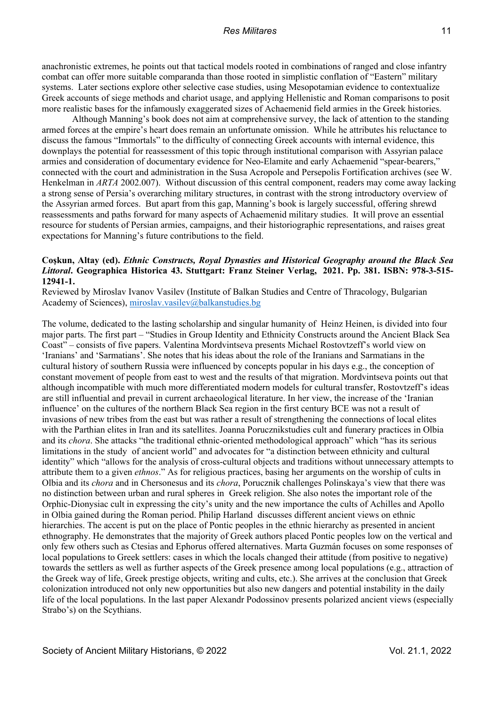anachronistic extremes, he points out that tactical models rooted in combinations of ranged and close infantry combat can offer more suitable comparanda than those rooted in simplistic conflation of "Eastern" military systems. Later sections explore other selective case studies, using Mesopotamian evidence to contextualize Greek accounts of siege methods and chariot usage, and applying Hellenistic and Roman comparisons to posit more realistic bases for the infamously exaggerated sizes of Achaemenid field armies in the Greek histories.

Although Manning's book does not aim at comprehensive survey, the lack of attention to the standing armed forces at the empire's heart does remain an unfortunate omission. While he attributes his reluctance to discuss the famous "Immortals" to the difficulty of connecting Greek accounts with internal evidence, this downplays the potential for reassessment of this topic through institutional comparison with Assyrian palace armies and consideration of documentary evidence for Neo-Elamite and early Achaemenid "spear-bearers," connected with the court and administration in the Susa Acropole and Persepolis Fortification archives (see W. Henkelman in *ARTA* 2002.007). Without discussion of this central component, readers may come away lacking a strong sense of Persia's overarching military structures, in contrast with the strong introductory overview of the Assyrian armed forces. But apart from this gap, Manning's book is largely successful, offering shrewd reassessments and paths forward for many aspects of Achaemenid military studies. It will prove an essential resource for students of Persian armies, campaigns, and their historiographic representations, and raises great expectations for Manning's future contributions to the field.

## **Coşkun, Altay (ed).** *Ethnic Constructs, Royal Dynasties and Historical Geography around the Black Sea Littoral***. Geographica Historica 43. Stuttgart: Franz Steiner Verlag, 2021. Pp. 381. ISBN: 978-3-515- 12941-1.**

Reviewed by Miroslav Ivanov Vasilev (Institute of Balkan Studies and Centre of Thracology, Bulgarian Academy of Sciences), miroslav.vasilev@balkanstudies.bg

The volume, dedicated to the lasting scholarship and singular humanity of Heinz Heinen, is divided into four major parts. The first part – "Studies in Group Identity and Ethnicity Constructs around the Ancient Black Sea Coast" – consists of five papers. Valentina Mordvintseva presents Michael Rostovtzeff's world view on 'Iranians' and 'Sarmatians'. She notes that his ideas about the role of the Iranians and Sarmatians in the cultural history of southern Russia were influenced by concepts popular in his days e.g., the conception of constant movement of people from east to west and the results of that migration. Mordvintseva points out that although incompatible with much more differentiated modern models for cultural transfer, Rostovtzeff's ideas are still influential and prevail in current archaeological literature. In her view, the increase of the 'Iranian influence' on the cultures of the northern Black Sea region in the first century BCE was not a result of invasions of new tribes from the east but was rather a result of strengthening the connections of local elites with the Parthian elites in Iran and its satellites. Joanna Porucznikstudies cult and funerary practices in Olbia and its *chora*. She attacks "the traditional ethnic-oriented methodological approach" which "has its serious limitations in the study of ancient world" and advocates for "a distinction between ethnicity and cultural identity" which "allows for the analysis of cross-cultural objects and traditions without unnecessary attempts to attribute them to a given *ethnos*." As for religious practices, basing her arguments on the worship of cults in Olbia and its *chora* and in Chersonesus and its *chora*, Porucznik challenges Polinskaya's view that there was no distinction between urban and rural spheres in Greek religion. She also notes the important role of the Orphic-Dionysiac cult in expressing the city's unity and the new importance the cults of Achilles and Apollo in Olbia gained during the Roman period. Philip Harland discusses different ancient views on ethnic hierarchies. The accent is put on the place of Pontic peoples in the ethnic hierarchy as presented in ancient ethnography. He demonstrates that the majority of Greek authors placed Pontic peoples low on the vertical and only few others such as Ctesias and Ephorus offered alternatives. Marta Guzmán focuses on some responses of local populations to Greek settlers: cases in which the locals changed their attitude (from positive to negative) towards the settlers as well as further aspects of the Greek presence among local populations (e.g., attraction of the Greek way of life, Greek prestige objects, writing and cults, etc.). She arrives at the conclusion that Greek colonization introduced not only new opportunities but also new dangers and potential instability in the daily life of the local populations. In the last paper Alexandr Podossinov presents polarized ancient views (especially Strabo's) on the Scythians.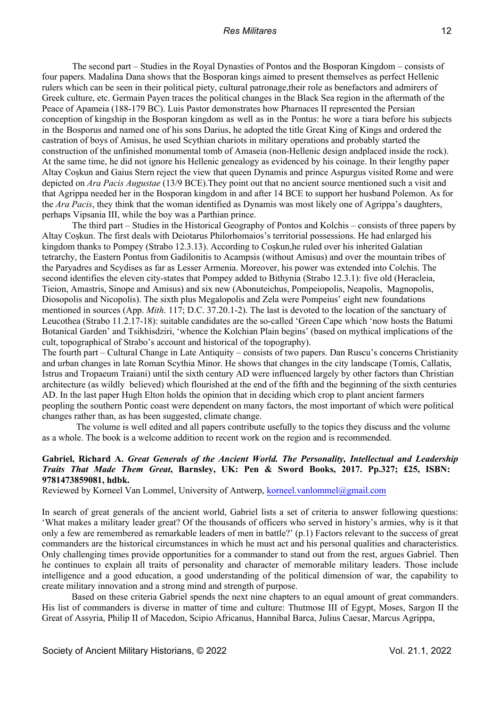The second part – Studies in the Royal Dynasties of Pontos and the Bosporan Kingdom – consists of four papers. Madalina Dana shows that the Bosporan kings aimed to present themselves as perfect Hellenic rulers which can be seen in their political piety, cultural patronage,their role as benefactors and admirers of Greek culture, etc. Germain Payen traces the political changes in the Black Sea region in the aftermath of the Peace of Apameia (188-179 BC). Luis Pastor demonstrates how Pharnaces II represented the Persian conception of kingship in the Bosporan kingdom as well as in the Pontus: he wore a tiara before his subjects in the Bosporus and named one of his sons Darius, he adopted the title Great King of Kings and ordered the castration of boys of Amisus, he used Scythian chariots in military operations and probably started the construction of the unfinished monumental tomb of Amaseia (non-Hellenic design andplaced inside the rock). At the same time, he did not ignore his Hellenic genealogy as evidenced by his coinage. In their lengthy paper Altay Coșkun and Gaius Stern reject the view that queen Dynamis and prince Aspurgus visited Rome and were depicted on *Ara Pacis Augustae* (13/9 BCE).They point out that no ancient source mentioned such a visit and that Agrippa needed her in the Bosporan kingdom in and after 14 BCE to support her husband Polemon. As for the *Ara Pacis*, they think that the woman identified as Dynamis was most likely one of Agrippa's daughters, perhaps Vipsania III, while the boy was a Parthian prince.

The third part – Studies in the Historical Geography of Pontos and Kolchis – consists of three papers by Altay Coșkun. The first deals with Deiotarus Philorhomaios's territorial possessions. He had enlarged his kingdom thanks to Pompey (Strabo 12.3.13). According to Coșkun,he ruled over his inherited Galatian tetrarchy, the Eastern Pontus from Gadilonitis to Acampsis (without Amisus) and over the mountain tribes of the Paryadres and Scydises as far as Lesser Armenia. Moreover, his power was extended into Colchis. The second identifies the eleven city-states that Pompey added to Bithynia (Strabo 12.3.1): five old (Heracleia, Tieion, Amastris, Sinope and Amisus) and six new (Abonuteichus, Pompeiopolis, Neapolis, Magnopolis, Diosopolis and Nicopolis). The sixth plus Megalopolis and Zela were Pompeius' eight new foundations mentioned in sources (App. *Mith*. 117; D.C. 37.20.1-2). The last is devoted to the location of the sanctuary of Leucothea (Strabo 11.2.17-18): suitable candidates are the so-called 'Green Cape which 'now hosts the Batumi Botanical Garden' and Tsikhisdziri, 'whence the Kolchian Plain begins' (based on mythical implications of the cult, topographical of Strabo's account and historical of the topography).

The fourth part – Cultural Change in Late Antiquity – consists of two papers. Dan Ruscu's concerns Christianity and urban changes in late Roman Scythia Minor. He shows that changes in the city landscape (Tomis, Callatis, Istrus and Tropaeum Traiani) until the sixth century AD were influenced largely by other factors than Christian architecture (as wildly believed) which flourished at the end of the fifth and the beginning of the sixth centuries AD. In the last paper Hugh Elton holds the opinion that in deciding which crop to plant ancient farmers peopling the southern Pontic coast were dependent on many factors, the most important of which were political changes rather than, as has been suggested, climate change.

The volume is well edited and all papers contribute usefully to the topics they discuss and the volume as a whole. The book is a welcome addition to recent work on the region and is recommended.

## **Gabriel, Richard A.** *Great Generals of the Ancient World. The Personality, Intellectual and Leadership Traits That Made Them Great***, Barnsley, UK: Pen & Sword Books, 2017. Pp.327; £25, ISBN: 9781473859081, hdbk.**

Reviewed by Korneel Van Lommel, University of Antwerp, korneel.vanlommel@gmail.com

In search of great generals of the ancient world, Gabriel lists a set of criteria to answer following questions: 'What makes a military leader great? Of the thousands of officers who served in history's armies, why is it that only a few are remembered as remarkable leaders of men in battle?' (p.1) Factors relevant to the success of great commanders are the historical circumstances in which he must act and his personal qualities and characteristics. Only challenging times provide opportunities for a commander to stand out from the rest, argues Gabriel. Then he continues to explain all traits of personality and character of memorable military leaders. Those include intelligence and a good education, a good understanding of the political dimension of war, the capability to create military innovation and a strong mind and strength of purpose.

Based on these criteria Gabriel spends the next nine chapters to an equal amount of great commanders. His list of commanders is diverse in matter of time and culture: Thutmose III of Egypt, Moses, Sargon II the Great of Assyria, Philip II of Macedon, Scipio Africanus, Hannibal Barca, Julius Caesar, Marcus Agrippa,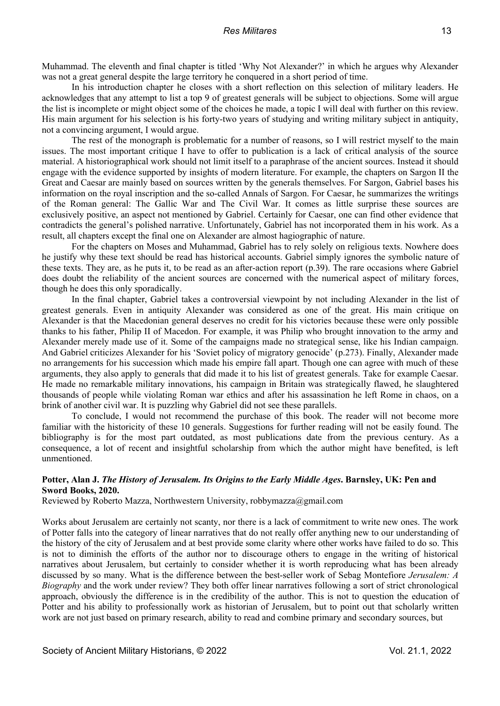Muhammad. The eleventh and final chapter is titled 'Why Not Alexander?' in which he argues why Alexander was not a great general despite the large territory he conquered in a short period of time.

In his introduction chapter he closes with a short reflection on this selection of military leaders. He acknowledges that any attempt to list a top 9 of greatest generals will be subject to objections. Some will argue the list is incomplete or might object some of the choices he made, a topic I will deal with further on this review. His main argument for his selection is his forty-two years of studying and writing military subject in antiquity, not a convincing argument, I would argue.

The rest of the monograph is problematic for a number of reasons, so I will restrict myself to the main issues. The most important critique I have to offer to publication is a lack of critical analysis of the source material. A historiographical work should not limit itself to a paraphrase of the ancient sources. Instead it should engage with the evidence supported by insights of modern literature. For example, the chapters on Sargon II the Great and Caesar are mainly based on sources written by the generals themselves. For Sargon, Gabriel bases his information on the royal inscription and the so-called Annals of Sargon. For Caesar, he summarizes the writings of the Roman general: The Gallic War and The Civil War. It comes as little surprise these sources are exclusively positive, an aspect not mentioned by Gabriel. Certainly for Caesar, one can find other evidence that contradicts the general's polished narrative. Unfortunately, Gabriel has not incorporated them in his work. As a result, all chapters except the final one on Alexander are almost hagiographic of nature.

For the chapters on Moses and Muhammad, Gabriel has to rely solely on religious texts. Nowhere does he justify why these text should be read has historical accounts. Gabriel simply ignores the symbolic nature of these texts. They are, as he puts it, to be read as an after-action report (p.39). The rare occasions where Gabriel does doubt the reliability of the ancient sources are concerned with the numerical aspect of military forces, though he does this only sporadically.

In the final chapter, Gabriel takes a controversial viewpoint by not including Alexander in the list of greatest generals. Even in antiquity Alexander was considered as one of the great. His main critique on Alexander is that the Macedonian general deserves no credit for his victories because these were only possible thanks to his father, Philip II of Macedon. For example, it was Philip who brought innovation to the army and Alexander merely made use of it. Some of the campaigns made no strategical sense, like his Indian campaign. And Gabriel criticizes Alexander for his 'Soviet policy of migratory genocide' (p.273). Finally, Alexander made no arrangements for his succession which made his empire fall apart. Though one can agree with much of these arguments, they also apply to generals that did made it to his list of greatest generals. Take for example Caesar. He made no remarkable military innovations, his campaign in Britain was strategically flawed, he slaughtered thousands of people while violating Roman war ethics and after his assassination he left Rome in chaos, on a brink of another civil war. It is puzzling why Gabriel did not see these parallels.

To conclude, I would not recommend the purchase of this book. The reader will not become more familiar with the historicity of these 10 generals. Suggestions for further reading will not be easily found. The bibliography is for the most part outdated, as most publications date from the previous century. As a consequence, a lot of recent and insightful scholarship from which the author might have benefited, is left unmentioned.

# **Potter, Alan J.** *The History of Jerusalem. Its Origins to the Early Middle Ages***. Barnsley, UK: Pen and Sword Books, 2020.**

Reviewed by Roberto Mazza, Northwestern University, robbymazza@gmail.com

Works about Jerusalem are certainly not scanty, nor there is a lack of commitment to write new ones. The work of Potter falls into the category of linear narratives that do not really offer anything new to our understanding of the history of the city of Jerusalem and at best provide some clarity where other works have failed to do so. This is not to diminish the efforts of the author nor to discourage others to engage in the writing of historical narratives about Jerusalem, but certainly to consider whether it is worth reproducing what has been already discussed by so many. What is the difference between the best-seller work of Sebag Montefiore *Jerusalem: A Biography* and the work under review? They both offer linear narratives following a sort of strict chronological approach, obviously the difference is in the credibility of the author. This is not to question the education of Potter and his ability to professionally work as historian of Jerusalem, but to point out that scholarly written work are not just based on primary research, ability to read and combine primary and secondary sources, but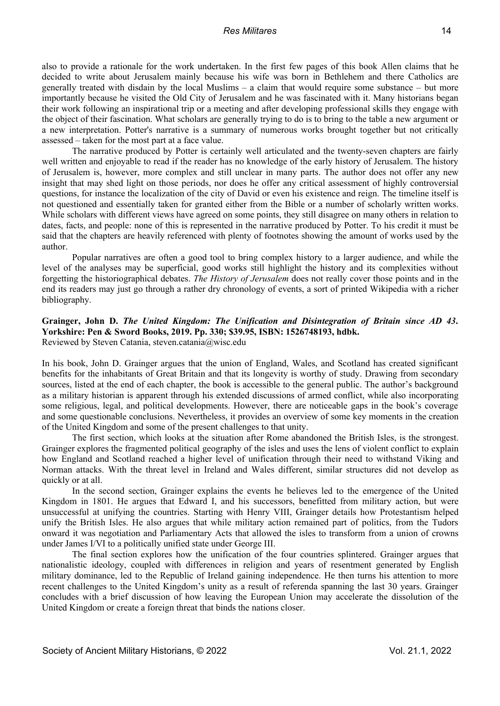also to provide a rationale for the work undertaken. In the first few pages of this book Allen claims that he decided to write about Jerusalem mainly because his wife was born in Bethlehem and there Catholics are generally treated with disdain by the local Muslims – a claim that would require some substance – but more importantly because he visited the Old City of Jerusalem and he was fascinated with it. Many historians began their work following an inspirational trip or a meeting and after developing professional skills they engage with the object of their fascination. What scholars are generally trying to do is to bring to the table a new argument or a new interpretation. Potter's narrative is a summary of numerous works brought together but not critically assessed – taken for the most part at a face value.

The narrative produced by Potter is certainly well articulated and the twenty-seven chapters are fairly well written and enjoyable to read if the reader has no knowledge of the early history of Jerusalem. The history of Jerusalem is, however, more complex and still unclear in many parts. The author does not offer any new insight that may shed light on those periods, nor does he offer any critical assessment of highly controversial questions, for instance the localization of the city of David or even his existence and reign. The timeline itself is not questioned and essentially taken for granted either from the Bible or a number of scholarly written works. While scholars with different views have agreed on some points, they still disagree on many others in relation to dates, facts, and people: none of this is represented in the narrative produced by Potter. To his credit it must be said that the chapters are heavily referenced with plenty of footnotes showing the amount of works used by the author.

Popular narratives are often a good tool to bring complex history to a larger audience, and while the level of the analyses may be superficial, good works still highlight the history and its complexities without forgetting the historiographical debates. *The History of Jerusalem* does not really cover those points and in the end its readers may just go through a rather dry chronology of events, a sort of printed Wikipedia with a richer bibliography.

# **Grainger, John D.** *The United Kingdom: The Unification and Disintegration of Britain since AD 43***. Yorkshire: Pen & Sword Books, 2019. Pp. 330; \$39.95, ISBN: 1526748193, hdbk.** Reviewed by Steven Catania, steven.catania@wisc.edu

In his book, John D. Grainger argues that the union of England, Wales, and Scotland has created significant benefits for the inhabitants of Great Britain and that its longevity is worthy of study. Drawing from secondary sources, listed at the end of each chapter, the book is accessible to the general public. The author's background as a military historian is apparent through his extended discussions of armed conflict, while also incorporating some religious, legal, and political developments. However, there are noticeable gaps in the book's coverage and some questionable conclusions. Nevertheless, it provides an overview of some key moments in the creation of the United Kingdom and some of the present challenges to that unity.

The first section, which looks at the situation after Rome abandoned the British Isles, is the strongest. Grainger explores the fragmented political geography of the isles and uses the lens of violent conflict to explain how England and Scotland reached a higher level of unification through their need to withstand Viking and Norman attacks. With the threat level in Ireland and Wales different, similar structures did not develop as quickly or at all.

In the second section, Grainger explains the events he believes led to the emergence of the United Kingdom in 1801. He argues that Edward I, and his successors, benefitted from military action, but were unsuccessful at unifying the countries. Starting with Henry VIII, Grainger details how Protestantism helped unify the British Isles. He also argues that while military action remained part of politics, from the Tudors onward it was negotiation and Parliamentary Acts that allowed the isles to transform from a union of crowns under James I/VI to a politically unified state under George III.

The final section explores how the unification of the four countries splintered. Grainger argues that nationalistic ideology, coupled with differences in religion and years of resentment generated by English military dominance, led to the Republic of Ireland gaining independence. He then turns his attention to more recent challenges to the United Kingdom's unity as a result of referenda spanning the last 30 years. Grainger concludes with a brief discussion of how leaving the European Union may accelerate the dissolution of the United Kingdom or create a foreign threat that binds the nations closer.